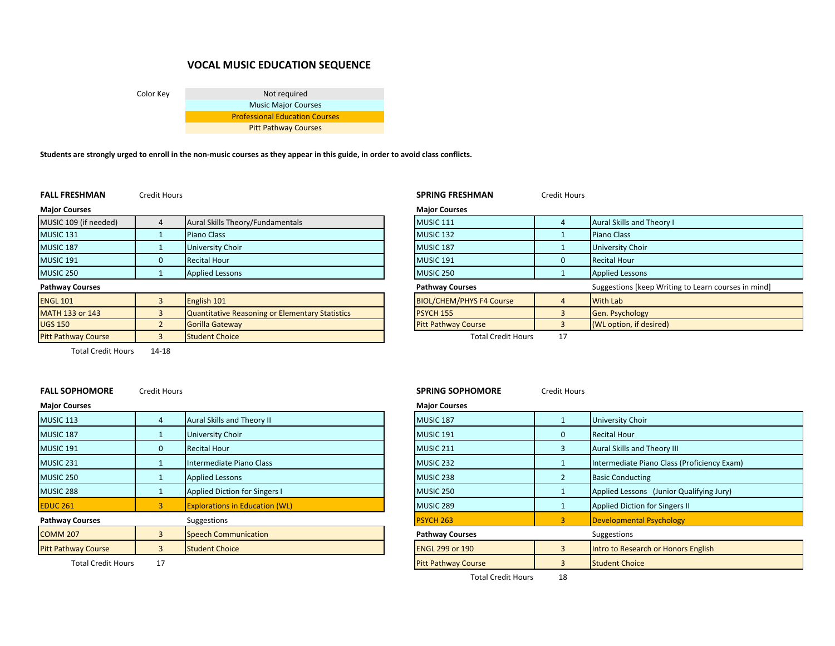# **VOCAL MUSIC EDUCATION SEQUENCE**

Color Key Not required Music Major Courses Professional Education Courses Pitt Pathway Courses

Students are strongly urged to enroll in the non-music courses as they appear in this guide, in order to avoid class conflicts.

|  | <b>FALL FRESHMAN</b> |  |
|--|----------------------|--|
|--|----------------------|--|

**Pitt Pathway Course** 

Credit Hours **SPRING FRESHMAN** Credit Hours

| <b>Maior Courses</b>   |   |                                                 | <b>Major Courses</b>            |                                |
|------------------------|---|-------------------------------------------------|---------------------------------|--------------------------------|
| MUSIC 109 (if needed)  |   | Aural Skills Theory/Fundamentals                | <b>MUSIC 111</b>                | Aural Skills and Theory        |
| <b>MUSIC 131</b>       |   | Piano Class                                     | MUSIC <sub>132</sub>            | <b>Piano Class</b>             |
| MUSIC 187              |   | University Choir                                | MUSIC <sub>187</sub>            | <b>University Choir</b>        |
| <b>MUSIC 191</b>       | C | <b>Recital Hour</b>                             | <b>MUSIC 191</b>                | <b>Recital Hour</b>            |
| <b>MUSIC 250</b>       |   | <b>Applied Lessons</b>                          | MUSIC 250                       | <b>Applied Lessons</b>         |
| <b>Pathway Courses</b> |   |                                                 | <b>Pathway Courses</b>          | <b>Suggestions [keep Writi</b> |
| <b>ENGL 101</b>        |   | English 101                                     | <b>BIOL/CHEM/PHYS F4 Course</b> | <b>With Lab</b>                |
| <b>MATH 133 or 143</b> |   | Quantitative Reasoning or Elementary Statistics | PSYCH 155                       | <b>Gen. Psychology</b>         |

| Major Courses          |                                                 | <b>Major Courses</b>            |                |                                                     |
|------------------------|-------------------------------------------------|---------------------------------|----------------|-----------------------------------------------------|
| MUSIC 109 (if needed)  | Aural Skills Theory/Fundamentals                | <b>MUSIC 111</b>                |                | Aural Skills and Theory I                           |
| MUSIC 131              | <b>Piano Class</b>                              | MUSIC 132                       |                | Piano Class                                         |
| MUSIC 187              | University Choir                                | <b>MUSIC 187</b>                |                | <b>University Choir</b>                             |
| MUSIC 191              | <b>Recital Hour</b>                             | <b>MUSIC 191</b>                |                | <b>Recital Hour</b>                                 |
| MUSIC 250              | <b>Applied Lessons</b>                          | <b>MUSIC 250</b>                |                | <b>Applied Lessons</b>                              |
| Pathway Courses        |                                                 | <b>Pathway Courses</b>          |                | Suggestions [keep Writing to Learn courses in mind] |
| <b>ENGL 101</b>        | English 101                                     | <b>BIOL/CHEM/PHYS F4 Course</b> |                | <b>With Lab</b>                                     |
| <b>MATH 133 or 143</b> | Quantitative Reasoning or Elementary Statistics | PSYCH 155                       |                | Gen. Psychology                                     |
| UGS 150                | Gorilla Gateway                                 | <b>Pitt Pathway Course</b>      |                | (WL option, if desired)                             |
| D'AL DEALER DE CARRIER | <b>Considered Observal</b>                      |                                 | $\overline{a}$ |                                                     |

**Pathway Course 3 Student Choice** 2 Student Choice Total Credit Hours 17

Total Credit Hours 14‐18 $14 - 18$ 

### **FALL SOPHOMORECredit Hours**

| <b>Major Courses</b>       |   |                                       | <b>Major Courses</b>   |          |                                           |
|----------------------------|---|---------------------------------------|------------------------|----------|-------------------------------------------|
| <b>MUSIC 113</b>           |   | Aural Skills and Theory II            | MUSIC <sub>187</sub>   |          | <b>University Choir</b>                   |
| MUSIC 187                  |   | <b>University Choir</b>               | MUSIC <sub>191</sub>   | $\Omega$ | <b>Recital Hour</b>                       |
| MUSIC 191                  | 0 | <b>Recital Hour</b>                   | MUSIC 211              |          | Aural Skills and Theory III               |
| MUSIC 231                  |   | Intermediate Piano Class              | MUSIC <sub>232</sub>   |          | Intermediate Piano Class (Proficiency Ex- |
| MUSIC 250                  |   | <b>Applied Lessons</b>                | MUSIC 238              |          | <b>Basic Conducting</b>                   |
| MUSIC 288                  |   | <b>Applied Diction for Singers I</b>  | MUSIC <sub>250</sub>   |          | Applied Lessons (Junior Qualifying Jury)  |
| <b>EDUC 261</b>            |   | <b>Explorations in Education (WL)</b> | MUSIC 289              |          | Applied Diction for Singers II            |
| <b>Pathway Courses</b>     |   | Suggestions                           | PSYCH 263              |          | <b>Developmental Psychology</b>           |
| <b>COMM 207</b>            |   | <b>Speech Communication</b>           | <b>Pathway Courses</b> |          | Suggestions                               |
| <b>Pitt Pathway Course</b> |   | <b>Student Choice</b>                 | <b>ENGL 299 or 190</b> |          | Intro to Research or Honors English       |
|                            |   |                                       |                        |          |                                           |

# **SPRING SOPHOMORE** Credit Hours

| courses                   |              |                                       | <b>IVIAJUI COUISES</b>     |   |                                             |
|---------------------------|--------------|---------------------------------------|----------------------------|---|---------------------------------------------|
| C 113                     |              | Aural Skills and Theory II            | <b>MUSIC 187</b>           |   | <b>University Choir</b>                     |
| C <sub>187</sub>          |              | <b>University Choir</b>               | MUSIC 191                  | 0 | <b>Recital Hour</b>                         |
| C 191                     | $\Omega$     | <b>Recital Hour</b>                   | MUSIC 211                  |   | Aural Skills and Theory III                 |
| C 231                     |              | Intermediate Piano Class              | MUSIC 232                  |   | Intermediate Piano Class (Proficiency Exam) |
| C <sub>250</sub>          |              | <b>Applied Lessons</b>                | MUSIC 238                  |   | <b>Basic Conducting</b>                     |
| C 288                     |              | Applied Diction for Singers I         | MUSIC 250                  |   | Applied Lessons (Junior Qualifying Jury)    |
| 261                       |              | <b>Explorations in Education (WL)</b> | MUSIC 289                  |   | Applied Diction for Singers II              |
| vay Courses               |              | Suggestions                           | <b>PSYCH 263</b>           | 3 | Developmental Psychology                    |
| M 207                     |              | Speech Communication                  | <b>Pathway Courses</b>     |   | Suggestions                                 |
| athway Course             | $\mathbf{R}$ | <b>Student Choice</b>                 | <b>ENGL 299 or 190</b>     | 3 | Intro to Research or Honors English         |
| <b>Total Credit Hours</b> | 17           |                                       | <b>Pitt Pathway Course</b> | 3 | <b>Student Choice</b>                       |
|                           |              |                                       |                            |   |                                             |

Total Credit Hours 18